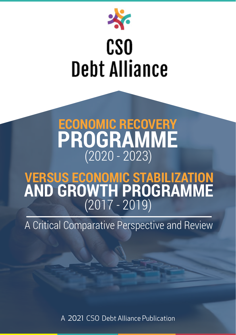

# $\frac{38}{150}$ **Debt Alliance**

# **ECONOMIC RECOVERY PROGRAMME** (2020 - 2023)

# **VERSUS ECONOMIC STABILIZATION AND GROWTH PROGRAMME** (2017 - 2019)

A Critical Comparative Perspective and Review

A 2021 CSO Debt Alliance Publication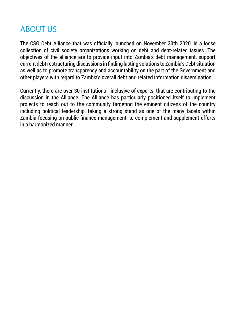# ABOUT US

The CSO Debt Alliance that was officially launched on November 30th 2020, is a loose collection of civil society organizations working on debt and debt-related issues. The objectives of the alliance are to provide input into Zambia's debt management, support current debt restructuring discussions in finding lasting solutions to Zambia's Debt situation as well as to promote transparency and accountability on the part of the Government and other players with regard to Zambia's overall debt and related information dissemination.

Currently, there are over 30 institutions - inclusive of experts, that are contributing to the discussion in the Alliance. The Alliance has particularly positioned itself to implement projects to reach out to the community targeting the eminent citizens of the country including political leadership, taking a strong stand as one of the many facets within Zambia focusing on public finance management, to complement and supplement efforts in a harmonized manner.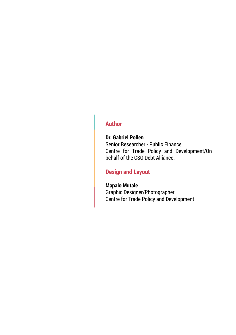#### **Author**

#### **Dr. Gabriel Pollen**

Senior Researcher - Public Finance Centre for Trade Policy and Development/On behalf of the CSO Debt Alliance.

#### **Design and Layout**

#### **Mapalo Mutale**

Graphic Designer/Photographer Centre for Trade Policy and Development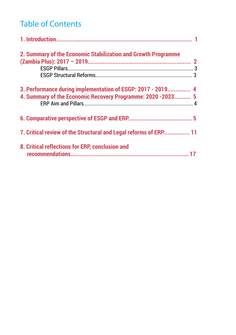# Table of Contents

| 2. Summary of the Economic Stabilization and Growth Programme                                                              |  |
|----------------------------------------------------------------------------------------------------------------------------|--|
|                                                                                                                            |  |
| 3. Performance during implementation of ESGP: 2017 - 2019 4<br>4. Summary of the Economic Recovery Programme: 2020 -2023 5 |  |
|                                                                                                                            |  |
| 7. Critical review of the Structural and Legal reforms of ERP 11                                                           |  |
| 8. Critical reflections for ERP, conclusion and                                                                            |  |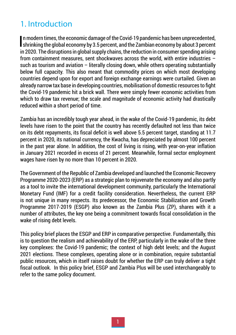# 1. Introduction

In modern times, the economic damage of the Covid-19 pandemic has been unprecedented,<br>shrinking the global economy by 3.5 percent, and the Zambian economy by about 3 percent n modern times, the economic damage of the Covid-19 pandemic has been unprecedented, in 2020. The disruptions in global supply chains, the reduction in consumer spending arising from containment measures, sent shockwaves across the world, with entire industries – such as tourism and aviation - literally closing down, while others operating substantially below full capacity. This also meant that commodity prices on which most developing countries depend upon for export and foreign exchange earnings were curtailed. Given an already narrow tax base in developing countries, mobilisation of domestic resources to fight the Covid-19 pandemic hit a brick wall. There were simply fewer economic activities from which to draw tax revenue; the scale and magnitude of economic activity had drastically reduced within a short period of time.

Zambia has an incredibly tough year ahead, in the wake of the Covid-19 pandemic, its debt levels have risen to the point that the country has recently defaulted not less than twice on its debt repayments, its fiscal deficit is well above 5.5 percent target, standing at 11.7 percent in 2020, its national currency, the Kwacha, has depreciated by almost 100 percent in the past year alone. In addition, the cost of living is rising, with year-on-year inflation in January 2021 recorded in excess of 21 percent. Meanwhile, formal sector employment wages have risen by no more than 10 percent in 2020.

The Government of the Republic of Zambia developed and launched the Economic Recovery Programme 2020-2023 (ERP) as a strategic plan to rejuvenate the economy and also partly as a tool to invite the international development community, particularly the International Monetary Fund (IMF) for a credit facility consideration. Nevertheless, the current ERP is not unique in many respects. Its predecessor, the Economic Stabilization and Growth Programme 2017-2019 (ESGP) also known as the Zambia Plus (ZP), shares with it a number of attributes, the key one being a commitment towards fiscal consolidation in the wake of rising debt levels.

This policy brief places the ESGP and ERP in comparative perspective. Fundamentally, this is to question the realism and achievability of the ERP, particularly in the wake of the three key complexes: the Covid-19 pandemic; the context of high debt levels; and the August 2021 elections. These complexes, operating alone or in combination, require substantial public resources, which in itself raises doubt for whether the ERP can truly deliver a tight fiscal outlook. In this policy brief, ESGP and Zambia Plus will be used interchangeably to refer to the same policy document.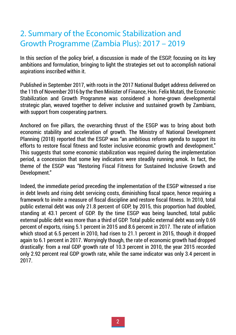# 2. Summary of the Economic Stabilization and Growth Programme (Zambia Plus): 2017 – 2019

In this section of the policy brief, a discussion is made of the ESGP, focusing on its key ambitions and formulation, bringing to light the strategies set out to accomplish national aspirations inscribed within it.

Published in September 2017, with roots in the 2017 National Budget address delivered on the 11th of November 2016 by the then Minister of Finance, Hon. Felix Mutati, the Economic Stabilization and Growth Programme was considered a home-grown developmental strategic plan, weaved together to deliver inclusive and sustained growth by Zambians, with support from cooperating partners.

Anchored on five pillars, the overarching thrust of the ESGP was to bring about both economic stability and acceleration of growth. The Ministry of National Development Planning (2018) reported that the ESGP was "an ambitious reform agenda to support its efforts to restore fiscal fitness and foster inclusive economic growth and development." This suggests that some economic stabilization was required during the implementation period, a concession that some key indicators were steadily running amok. In fact, the theme of the ESGP was "Restoring Fiscal Fitness for Sustained Inclusive Growth and Development."

Indeed, the immediate period preceding the implementation of the ESGP witnessed a rise in debt levels and rising debt servicing costs, diminishing fiscal space, hence requiring a framework to invite a measure of fiscal discipline and restore fiscal fitness. In 2010, total public external debt was only 21.8 percent of GDP, by 2015, this proportion had doubled, standing at 43.1 percent of GDP. By the time ESGP was being launched, total public external public debt was more than a third of GDP. Total public external debt was only 0.69 percent of exports, rising 5.1 percent in 2015 and 8.6 percent in 2017. The rate of inflation which stood at 6.5 percent in 2010, had risen to 21.1 percent in 2015, though it dropped again to 6.1 percent in 2017. Worryingly though, the rate of economic growth had dropped drastically: from a real GDP growth rate of 10.3 percent in 2010, the year 2015 recorded only 2.92 percent real GDP growth rate, while the same indicator was only 3.4 percent in 2017.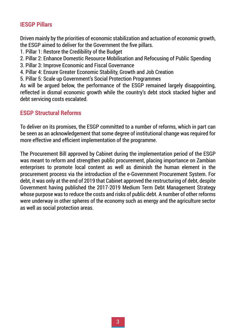#### **IESGP Pillars**

Driven mainly by the priorities of economic stabilization and actuation of economic growth, the ESGP aimed to deliver for the Government the five pillars.

- 1. Pillar 1: Restore the Credibility of the Budget
- 2. Pillar 2: Enhance Domestic Resource Mobilisation and Refocusing of Public Spending
- 3. Pillar 3: Improve Economic and Fiscal Governance
- 4. Pillar 4: Ensure Greater Economic Stability, Growth and Job Creation
- 5. Pillar 5: Scale up Government's Social Protection Programmes

As will be argued below, the performance of the ESGP remained largely disappointing, reflected in dismal economic growth while the country's debt stock stacked higher and debt servicing costs escalated.

#### **ESGP Structural Reforms**

To deliver on its promises, the ESGP committed to a number of reforms, which in part can be seen as an acknowledgement that some degree of institutional change was required for more effective and efficient implementation of the programme.

The Procurement Bill approved by Cabinet during the implementation period of the ESGP was meant to reform and strengthen public procurement, placing importance on Zambian enterprises to promote local content as well as diminish the human element in the procurement process via the introduction of the e-Government Procurement System. For debt, it was only at the end of 2019 that Cabinet approved the restructuring of debt, despite Government having published the 2017-2019 Medium Term Debt Management Strategy whose purpose was to reduce the costs and risks of public debt. A number of other reforms were underway in other spheres of the economy such as energy and the agriculture sector as well as social protection areas.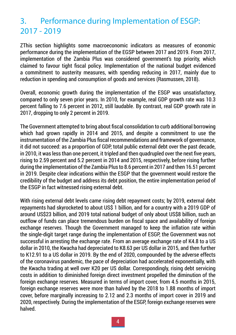# 3. Performance during Implementation of ESGP: 2017 - 2019

ZThis section highlights some macroeconomic indicators as measures of economic performance during the implementation of the EGSP between 2017 and 2019. From 2017, implementation of the Zambia Plus was considered government's top priority, which claimed to favour tight fiscal policy. Implementation of the national budget evidenced a commitment to austerity measures, with spending reducing in 2017, mainly due to reduction in spending and consumption of goods and services (Rasmussen, 2018).

Overall, economic growth during the implementation of the ESGP was unsatisfactory, compared to only seven prior years. In 2010, for example, real GDP growth rate was 10.3 percent falling to 7.6 percent in 2012, still laudable. By contrast, real GDP growth rate in 2017, dropping to only 2 percent in 2019.

The Government attempted to bring about fiscal consolidation to curb additional borrowing which had grown rapidly in 2014 and 2015, and despite a commitment to use the instrumentation of the Zambia Plus fiscal recommendations and framework of governance, it did not succeed: as a proportion of GDP, total public external debt over the past decade, in 2010, it was less than one percent, it tripled and then quadrupled over the next five years, rising to 2.59 percent and 5.2 percent in 2014 and 2015, respectively, before rising further during the implementation of the Zambia Plus to 8.6 percent in 2017 and then 16.51 percent in 2019. Despite clear indications within the ESGP that the government would restore the credibility of the budget and address its debt position, the entire implementation period of the ESGP in fact witnessed rising external debt.

With rising external debt levels came rising debt repayment costs; by 2019, external debt repayments had skyrocketed to about US\$ 1 billion, and for a country with a 2019 GDP of around US\$23 billion, and 2019 total national budget of only about US\$8 billion, such an outflow of funds can place tremendous burden on fiscal space and availability of foreign exchange reserves. Though the Government managed to keep the inflation rate within the single-digit target range during the implementation of ESGP, the Government was not successful in arresting the exchange rate. From an average exchange rate of K4.8 to a US dollar in 2010, the Kwacha had depreciated to K8.63 per US dollar in 2015, and then further to K12.91 to a US dollar in 2019. By the end of 2020, compounded by the adverse effects of the coronavirus pandemic, the pace of depreciation had accelerated exponentially, with the Kwacha trading at well over K20 per US dollar. Correspondingly, rising debt servicing costs in addition to diminished foreign direct investment propelled the diminution of the foreign exchange reserves. Measured in terms of import cover, from 4.5 months in 2015, foreign exchange reserves were more than halved by the 2018 to 1.88 months of import cover, before marginally increasing to 2.12 and 2.3 months of import cover in 2019 and 2020, respectively. During the implementation of the ESGP, foreign exchange reserves were halved.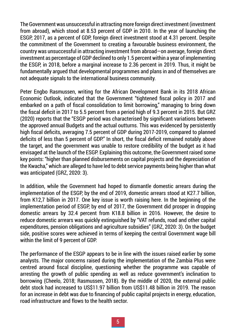The Government was unsuccessful in attracting more foreign direct investment (investment from abroad), which stood at 8.53 percent of GDP in 2010. In the year of launching the ESGP, 2017, as a percent of GDP, foreign direct investment stood at 4.31 percent. Despite the commitment of the Government to creating a favourable business environment, the country was unsuccessful in attracting investment from abroad—on average, foreign direct investment as percentage of GDP declined to only 1.5 percent within a year of implementing the ESGP, in 2018, before a marginal increase to 2.36 percent in 2019. Thus, it might be fundamentally argued that developmental programmes and plans in and of themselves are not adequate signals to the international business community.

Peter Engbo Rasmussen, writing for the African Development Bank in its 2018 African Economic Outlook, indicated that the Government "tightened fiscal policy in 2017 and embarked on a path of fiscal consolidation to limit borrowing," managing to bring down the fiscal deficit in 2017 to 5.5 percent from a period high of 9.3 percent in 2015. But GRZ (2020) reports that the "ESGP period was characterised by significant variations between the approved annual Budgets and the actual outturns. This was evidenced by persistently high fiscal deficits, averaging 7.5 percent of GDP during 2017-2019, compared to planned deficits of less than 5 percent of GDP." In short, the fiscal deficit remained notably above the target, and the government was unable to restore credibility of the budget as it had envisaged at the launch of the ESGP. Explaining this outcome, the Government raised some key points: "higher than planned disbursements on capital projects and the depreciation of the Kwacha," which are alleged to have led to debt service payments being higher than what was anticipated (GRZ, 2020: 3).

In addition, while the Government had hoped to dismantle domestic arrears during the implementation of the ESGP, by the end of 2019, domestic arrears stood at K27.7 billion, from K12,7 billion in 2017. One key issue is worth raising here. In the beginning of the implementation period of ESGP, by end of 2017, the Government did prosper in dropping domestic arrears by 32.4 percent from K18.8 billion in 2016. However, the desire to reduce domestic arrears was quickly extinguished by "VAT refunds, road and other capital expenditures, pension obligations and agriculture subsidies" (GRZ, 2020: 3). On the budget side, positive scores were achieved in terms of keeping the central Government wage bill within the limit of 9 percent of GDP.

The performance of the ESGP appears to be in line with the issues raised earlier by some analysts. The major concerns raised during the implementation of the Zambia Plus were centred around fiscal discipline, questioning whether the programme was capable of arresting the growth of public spending as well as reduce government's inclination to borrowing (Cheelo, 2018; Rasmussen, 2018). By the middle of 2020, the external public debt stock had increased to US\$11.97 billion from US\$11.48 billion in 2019. The reason for an increase in debt was due to financing of public capital projects in energy, education, road infrastructure and flows to the health sector.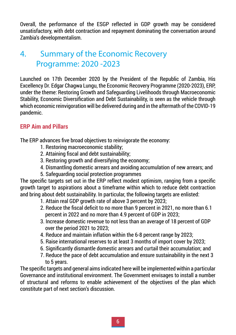Overall, the performance of the ESGP reflected in GDP growth may be considered unsatisfactory, with debt contraction and repayment dominating the conversation around Zambia's developmentalism.

# 4. Summary of the Economic Recovery Programme: 2020 -2023

Launched on 17th December 2020 by the President of the Republic of Zambia, His Excellency Dr. Edgar Chagwa Lungu, the Economic Recovery Programme (2020-2023), ERP, under the theme: Restoring Growth and Safeguarding Livelihoods through Macroeconomic Stability, Economic Diversification and Debt Sustainability, is seen as the vehicle through which economic reinvigoration will be delivered during and in the aftermath of the COVID-19 pandemic.

#### **ERP Aim and Pillars**

The ERP advances five broad objectives to reinvigorate the economy:

- 1. Restoring macroeconomic stability;
- 2. Attaining fiscal and debt sustainability;
- 3. Restoring growth and diversifying the economy;
- 4. Dismantling domestic arrears and avoiding accumulation of new arrears; and
- 5. Safeguarding social protection programmes

The specific targets set out in the ERP reflect modest optimism, ranging from a specific growth target to aspirations about a timeframe within which to reduce debt contraction and bring about debt sustainability. In particular, the following targets are enlisted:

- 1. Attain real GDP growth rate of above 3 percent by 2023;
- 2. Reduce the fiscal deficit to no more than 9 percent in 2021, no more than 6.1 percent in 2022 and no more than 4.9 percent of GDP in 2023;
- 3. Increase domestic revenue to not less than an average of 18 percent of GDP over the period 2021 to 2023;
- 4. Reduce and maintain inflation within the 6-8 percent range by 2023;
- 5. Raise international reserves to at least 3 months of import cover by 2023;
- 6. Significantly dismantle domestic arrears and curtail their accumulation; and
- 7. Reduce the pace of debt accumulation and ensure sustainability in the next 3 to 5 years.

The specific targets and general aims indicated here will be implemented within a particular Governance and institutional environment. The Government envisages to install a number of structural and reforms to enable achievement of the objectives of the plan which constitute part of next section's discussion.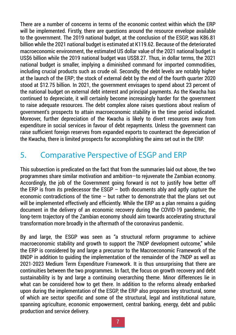There are a number of concerns in terms of the economic context within which the ERP will be implemented. Firstly, there are questions around the resource envelope available to the government. The 2019 national budget, at the conclusion of the ESGP, was K86.81 billion while the 2021 national budget is estimated at K119.62. Because of the deteriorated macroeconomic environment, the estimated US dollar value of the 2021 national budget is US\$6 billion while the 2019 national budget was US\$8.27. Thus, in dollar terms, the 2021 national budget is smaller, implying a diminished command for imported commodities, including crucial products such as crude oil. Secondly, the debt levels are notably higher at the launch of the ERP; the stock of external debt by the end of the fourth quarter 2020 stood at \$12.75 billion. In 2021, the government envisages to spend about 23 percent of the national budget on external debt interest and principal payments. As the Kwacha has continued to depreciate, it will certainly become increasingly harder for the government to raise adequate resources. The debt complex alone raises questions about realism of government's prospects to attain macroeconomic stability in the time period indicated. Moreover, further depreciation of the Kwacha is likely to divert resources away from expenditure in social services in favour of debt repayments. Unless the government can raise sufficient foreign reserves from expanded exports to counteract the depreciation of the Kwacha, there is limited prospects for accomplishing the aims set out in the ERP.

# 5. Comparative Perspective of ESGP and ERP

This subsection is predicated on the fact that from the summaries laid out above, the two programmes share similar motivation and ambition—to rejuvenate the Zambian economy. Accordingly, the job of the Government going forward is not to justify how better off the ERP is from its predecessor the ESGP – both documents ably and aptly capture the economic contradictions of the time – but rather to demonstrate that the plans set out will be implemented effectively and efficiently. While the ERP as a plan remains a guiding document in the delivery of an economic recovery during the COVID-19 pandemic, the long-term trajectory of the Zambian economy should aim towards accelerating structural transformation more broadly in the aftermath of the coronavirus pandemic.

By and large, the ESGP was seen as "a structural reform programme to achieve macroeconomic stability and growth to support the 7NDP development outcome," while the ERP is considered by and large a precursor to the Macroeconomic Framework of the 8NDP in addition to guiding the implementation of the remainder of the 7NDP as well as 2021-2023 Medium Term Expenditure Framework. It is thus unsurprising that there are continuities between the two programmes. In fact, the focus on growth recovery and debt sustainability is by and large a continuing overarching theme. Minor differences lie in what can be considered how to get there. In addition to the reforms already embarked upon during the implementation of the ESGP, the ERP also proposes key structural, some of which are sector specific and some of the structural, legal and institutional nature, spanning agriculture, economic empowerment, central banking, energy, debt and public production and service delivery.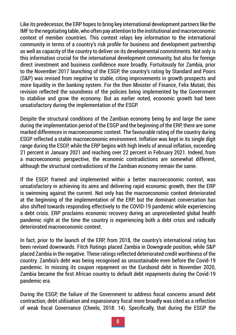Like its predecessor, the ERP hopes to bring key international development partners like the IMF to the negotiating table, who often pay attention to the institutional and macroeconomic context of member countries. This context relays key information to the international community in terms of a country's risk profile for business and development partnership as well as capacity of the country to deliver on its developmental commitments. Not only is this information crucial for the international development community, but also for foreign direct investment and business confidence more broadly. Fortuitously for Zambia, prior to the November 2017 launching of the ESGP, the country's rating by Standard and Poors (S&P) was revised from negative to stable, citing improvements in growth prospects and more liquidity in the banking system. For the then Minister of Finance, Felix Mutati, this revision reflected the soundness of the policies being implemented by the Government to stabilise and grow the economy. But as earlier noted, economic growth had been unsatisfactory during the implementation of the ESGP.

Despite the structural conditions of the Zambian economy being by and large the same during the implementation period of the ESGP and the beginning of the ERP, there are some marked differences in macroeconomic context. The favourable rating of the country during ESGP reflected a stable macroeconomic environment. Inflation was kept in its single digit range during the ESGP, while the ERP begins with high levels of annual inflation, exceeding 21 percent in January 2021 and reaching over 22 percent in February 2021. Indeed, from a macroeconomic perspective, the economic contradictions are somewhat different, although the structural contradictions of the Zambian economy remain the same.

If the ESGP, framed and implemented within a better macroeconomic context, was unsatisfactory in achieving its aims and delivering rapid economic growth, then the ERP is swimming against the current. Not only has the macroeconomic context deteriorated at the beginning of the implementation of the ERP, but the dominant conversation has also shifted towards responding effectively to the COVID-19 pandemic while experiencing a debt crisis. ERP proclaims economic recovery during an unprecedented global health pandemic right at the time the country is experiencing both a debt crisis and radically deteriorated macroeconomic context.

In fact, prior to the launch of the ERP, from 2018, the country's international rating has been revised downwards. Fitch Ratings placed Zambia in Downgrade position, while S&P placed Zambia in the negative. These ratings reflected deteriorated credit worthiness of the country. Zambia's debt was being recognised as unsustainable even before the Covid-19 pandemic. In missing its coupon repayment on the Eurobond debt in November 2020, Zambia became the first African country to default debt repayments during the Covid-19 pandemic era.

During the ESGP, the failure of the Government to address fiscal concerns around debt contraction, debt utilisation and expansionary fiscal more broadly was cited as a reflection of weak fiscal Governance (Cheelo, 2018: 14). Specifically, that during the ESGP the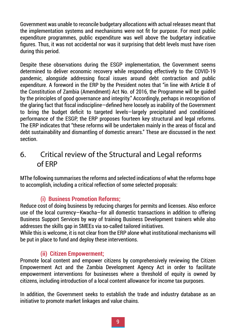Government was unable to reconcile budgetary allocations with actual releases meant that the implementation systems and mechanisms were not fit for purpose. For most public expenditure programmes, public expenditure was well above the budgetary indicative figures. Thus, it was not accidental nor was it surprising that debt levels must have risen during this period.

Despite these observations during the ESGP implementation, the Government seems determined to deliver economic recovery while responding effectively to the COVID-19 pandemic, alongside addressing fiscal issues around debt contraction and public expenditure. A foreword in the ERP by the President notes that "in line with Article 8 of the Constitution of Zambia (Amendment) Act No. of 2016, the Programme will be guided by the principles of good governance and integrity." Accordingly, perhaps in recognition of the glaring fact that fiscal indiscipline—defined here loosely as inability of the Government to bring the budget deficit to targeted levels—largely precipitated and conditioned performance of the ESGP, the ERP proposes fourteen key structural and legal reforms. The ERP indicates that "these reforms will be undertaken mainly in the areas of fiscal and debt sustainability and dismantling of domestic arrears." These are discussed in the next section.

### 6. Critical review of the Structural and Legal reforms of ERP

MThe following summarises the reforms and selected indications of what the reforms hope to accomplish, including a critical reflection of some selected proposals:

#### **(i) Business Promotion Reforms;**

Reduce cost of doing business by reducing charges for permits and licenses. Also enforce use of the local currency—Kwacha—for all domestic transactions in addition to offering Business Support Services by way of training Business Development trainers while also addresses the skills gap in SMEEs via so-called tailored initiatives.

While this is welcome, it is not clear from the ERP alone what institutional mechanisms will be put in place to fund and deploy these interventions.

#### **(ii) Citizen Empowerment;**

Promote local content and empower citizens by comprehensively reviewing the Citizen Empowerment Act and the Zambia Development Agency Act in order to facilitate empowerment interventions for businesses where a threshold of equity is owned by citizens, including introduction of a local content allowance for income tax purposes.

In addition, the Government seeks to establish the trade and industry database as an initiative to promote market linkages and value chains.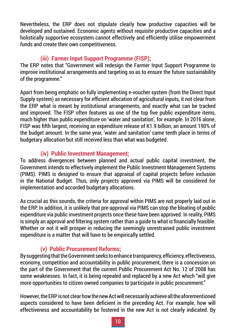Nevertheless, the ERP does not stipulate clearly how productive capacities will be developed and sustained. Economic agents without requisite productive capacities and a holistically supportive ecosystem cannot effectively and efficiently utilise empowerment funds and create their own competitiveness.

#### **(iii) Farmer Input Support Programme (FISP);**

The ERP notes that "Government will redesign the Farmer Input Support Programme to improve institutional arrangements and targeting so as to ensure the future sustainability of the programme."

Apart from being emphatic on fully implementing e-voucher system (from the Direct Input Supply system) as necessary for efficient allocation of agricultural inputs, it not clear from the ERP what is meant by institutional arrangements, and exactly what can be tracked and improved. The FISP often features as one of the top five public expenditure items, much higher than public expenditure on 'water and sanitation', for example. In 2016 alone, FISP was fifth largest, receiving an expenditure release of K1.9 billion, an amount 190% of the budget amount. In the same year, 'water and sanitation' came tenth place in terms of budgetary allocation but still received less than what was budgeted.

#### **(iv) Public Investment Management;**

To address divergences between planned and actual public capital investment, the Government intends to effectively implement the Public Investment Management Systems (PIMS). PIMS is designed to ensure that appraisal of capital projects before inclusion in the National Budget. Thus, only projects approved via PIMS will be considered for implementation and accorded budgetary allocations.

As crucial as this sounds, the criteria for approval within PIMS are not properly laid out in the ERP. In addition, it is unlikely that pre-approval via PIMS can stop the bloating of public expenditure via public investment projects once these have been approved. In reality, PIMS is simply an approval and filtering system rather than a guide to what is financially feasible. Whether or not it will prosper in reducing the seemingly unrestrained public investment expenditure is a matter that will have to be empirically settled.

#### **(v) Public Procurement Reforms;**

By suggesting that the Government seeks to enhance transparency, efficiency, effectiveness, economy, competition and accountability in public procurement, there is a concession on the part of the Government that the current Public Procurement Act No. 12 of 2008 has some weaknesses. In fact, it is being repealed and replaced by a new Act which "will give more opportunities to citizen owned companies to participate in public procurement."

However, the ERP is not clear how the new Act will necessarily achieve all the aforementioned aspects considered to have been deficient in the preceding Act. For example, how will effectiveness and accountability be fostered in the new Act is not clearly indicated. By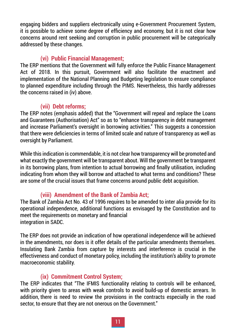engaging bidders and suppliers electronically using e-Government Procurement System, it is possible to achieve some degree of efficiency and economy, but it is not clear how concerns around rent seeking and corruption in public procurement will be categorically addressed by these changes.

#### **(vi) Public Financial Management;**

The ERP mentions that the Government will fully enforce the Public Finance Management Act of 2018. In this pursuit, Government will also facilitate the enactment and implementation of the National Planning and Budgeting legislation to ensure compliance to planned expenditure including through the PIMS. Nevertheless, this hardly addresses the concerns raised in (iv) above.

#### **(vii) Debt reforms;**

The ERP notes (emphasis added) that the "Government will repeal and replace the Loans and Guarantees (Authorisation) Act" so as to "enhance transparency in debt management and increase Parliament's oversight in borrowing activities." This suggests a concession that there were deficiencies in terms of limited scale and nature of transparency as well as oversight by Parliament.

While this indication is commendable, it is not clear how transparency will be promoted and what exactly the government will be transparent about. Will the government be transparent in its borrowing plans, from intention to actual borrowing and finally utilisation, including indicating from whom they will borrow and attached to what terms and conditions? These are some of the crucial issues that frame concerns around public debt acquisition.

#### **(viii) Amendment of the Bank of Zambia Act;**

The Bank of Zambia Act No. 43 of 1996 requires to be amended to inter alia provide for its operational independence, additional functions as envisaged by the Constitution and to meet the requirements on monetary and financial integration in SADC.

The ERP does not provide an indication of how operational independence will be achieved in the amendments, nor does is it offer details of the particular amendments themselves. Insulating Bank Zambia from capture by interests and interference is crucial in the effectiveness and conduct of monetary policy, including the institution's ability to promote macroeconomic stability.

#### **(ix) Commitment Control System;**

The ERP indicates that "The IFMIS functionality relating to controls will be enhanced, with priority given to areas with weak controls to avoid build-up of domestic arrears. In addition, there is need to review the provisions in the contracts especially in the road sector, to ensure that they are not onerous on the Government."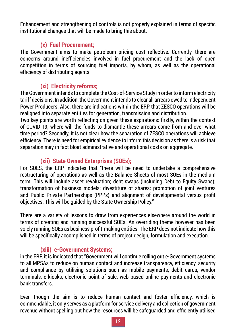Enhancement and strengthening of controls is not properly explained in terms of specific institutional changes that will be made to bring this about.

#### **(x) Fuel Procurement;**

The Government aims to make petroleum pricing cost reflective. Currently, there are concerns around inefficiencies involved in fuel procurement and the lack of open competition in terms of sourcing fuel imports, by whom, as well as the operational efficiency of distributing agents.

#### **(xi) Electricity reforms;**

The Government intends to complete the Cost-of-Service Study in order to inform electricity tariff decisions. In addition, the Government intends to clear all arrears owed to Independent Power Producers. Also, there are indications within the ERP that ZESCO operations will be realigned into separate entities for generation, transmission and distribution.

Two key points are worth reflecting on given these aspirations: firstly, within the context of COVID-19, where will the funds to dismantle these arrears come from and over what time period? Secondly, it is not clear how the separation of ZESCO operations will achieve efficiency. There is need for empirical evidence to inform this decision as there is a risk that separation may in fact bloat administrative and operational costs on aggregate.

#### **(xii) State Owned Enterprises (SOEs);**

For SOES, the ERP indicates that "there will be need to undertake a comprehensive restructuring of operations as well as the Balance Sheets of most SOEs in the medium term. This will include asset revaluation; debt swaps (including Debt to Equity Swaps); transformation of business models; divestiture of shares; promotion of joint ventures and Public Private Partnerships (PPPs) and alignment of developmental versus profit objectives. This will be guided by the State Ownership Policy."

There are a variety of lessons to draw from experiences elsewhere around the world in terms of creating and running successful SOEs. An overriding theme however has been solely running SOEs as business profit-making entities. The ERP does not indicate how this will be specifically accomplished in terms of project design, formulation and execution.

#### **(xiii) e-Government Systems;**

in the ERP, it is indicated that "Government will continue rolling out e-Government systems to all MPSAs to reduce on human contact and increase transparency, efficiency, security and compliance by utilising solutions such as mobile payments, debit cards, vendor terminals, e-kiosks, electronic point of sale, web based online payments and electronic bank transfers.

Even though the aim is to reduce human contact and foster efficiency, which is commendable, it only serves as a platform for service delivery and collection of government revenue without spelling out how the resources will be safeguarded and efficiently utilised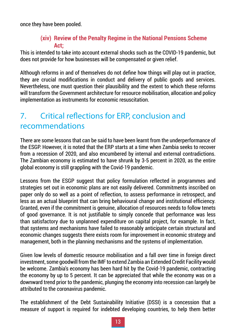once they have been pooled.

#### **(xiv) Review of the Penalty Regime in the National Pensions Scheme Act;**

This is intended to take into account external shocks such as the COVID-19 pandemic, but does not provide for how businesses will be compensated or given relief.

Although reforms in and of themselves do not define how things will play out in practice, they are crucial modifications in conduct and delivery of public goods and services. Nevertheless, one must question their plausibility and the extent to which these reforms will transform the Government architecture for resource mobilisation, allocation and policy implementation as instruments for economic resuscitation.

# 7. Critical reflections for ERP, conclusion and recommendations

There are some lessons that can be said to have been learnt from the underperformance of the ESGP. However, it is noted that the ERP starts at a time when Zambia seeks to recover from a recession of 2020, and also encumbered by internal and external contradictions. The Zambian economy is estimated to have shrunk by 3-5 percent in 2020, as the entire global economy is still grappling with the Covid-19 pandemic.

Lessons from the ESGP suggest that policy formulation reflected in programmes and strategies set out in economic plans are not easily delivered. Commitments inscribed on paper only do so well as a point of reflection, to assess performance in retrospect, and less as an actual blueprint that can bring behavioural change and institutional efficiency. Granted, even if the commitment is genuine, allocation of resources needs to follow tenets of good governance. It is not justifiable to simply concede that performance was less than satisfactory due to unplanned expenditure on capital project, for example. In fact, that systems and mechanisms have failed to reasonably anticipate certain structural and economic changes suggests there exists room for improvement in economic strategy and management, both in the planning mechanisms and the systems of implementation.

Given low levels of domestic resource mobilisation and a fall over time in foreign direct investment, some goodwill from the IMF to extend Zambia an Extended Credit Facility would be welcome. Zambia's economy has been hard hit by the Covid-19 pandemic, contracting the economy by up to 5 percent. It can be appreciated that while the economy was on a downward trend prior to the pandemic, plunging the economy into recession can largely be attributed to the coronavirus pandemic.

The establishment of the Debt Sustainability Initiative (DSSI) is a concession that a measure of support is required for indebted developing countries, to help them better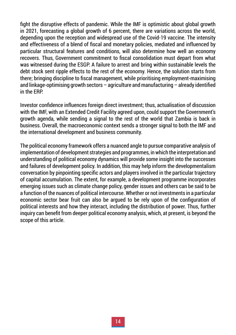fight the disruptive effects of pandemic. While the IMF is optimistic about global growth in 2021, forecasting a global growth of 6 percent, there are variations across the world, depending upon the reception and widespread use of the Covid-19 vaccine. The intensity and effectiveness of a blend of fiscal and monetary policies, mediated and influenced by particular structural features and conditions, will also determine how well an economy recovers. Thus, Government commitment to fiscal consolidation must depart from what was witnessed during the ESGP. A failure to arrest and bring within sustainable levels the debt stock sent ripple effects to the rest of the economy. Hence, the solution starts from there; bringing discipline to fiscal management, while prioritising employment-maximising and linkage-optimising growth sectors – agriculture and manufacturing – already identified in the ERP.

Investor confidence influences foreign direct investment; thus, actualisation of discussion with the IMF, with an Extended Credit Facility agreed upon, could support the Government's growth agenda, while sending a signal to the rest of the world that Zambia is back in business. Overall, the macroeconomic context sends a stronger signal to both the IMF and the international development and business community.

The political economy framework offers a nuanced angle to pursue comparative analysis of implementation of development strategies and programmes, in which the interpretation and understanding of political economy dynamics will provide some insight into the successes and failures of development policy. In addition, this may help inform the developmentalism conversation by pinpointing specific actors and players involved in the particular trajectory of capital accumulation. The extent, for example, a development programme incorporates emerging issues such as climate change policy, gender issues and others can be said to be a function of the nuances of political intercourse. Whether or not investments in a particular economic sector bear fruit can also be argued to be rely upon of the configuration of political interests and how they interact, including the distribution of power. Thus, further inquiry can benefit from deeper political economy analysis, which, at present, is beyond the scope of this article.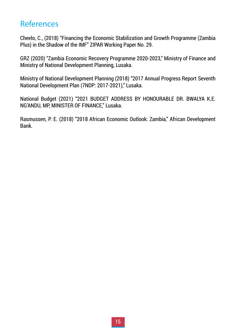# References

Cheelo, C., (2018) "Financing the Economic Stabilization and Growth Programme (Zambia Plus) in the Shadow of the IMF" ZIPAR Working Paper No. 29.

GRZ (2020) "Zambia Economic Recovery Programme 2020-2023," Ministry of Finance and Ministry of National Development Planning, Lusaka.

Ministry of National Development Planning (2018) "2017 Annual Progress Report Seventh National Development Plan (7NDP: 2017-2021)," Lusaka.

National Budget (2021) "2021 BUDGET ADDRESS BY HONOURABLE DR. BWALYA K.E. NG'ANDU, MP, MINISTER OF FINANCE," Lusaka.

Rasmussen, P. E. (2018) "2018 African Economic Outlook: Zambia," African Development Bank.